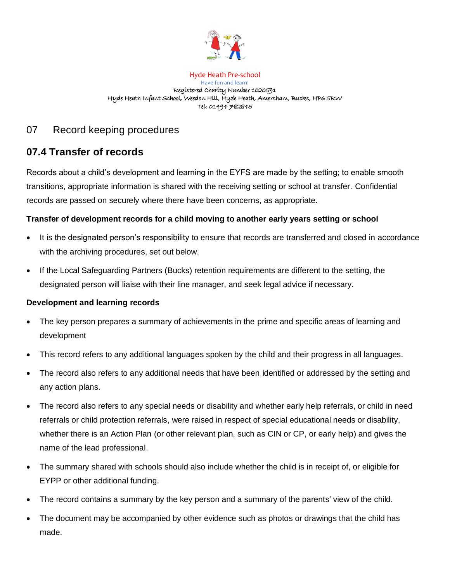

Hyde Heath Pre-school Have fun and learn! Registered Charity Number 1020591 Hyde Heath Infant School, Weedon Hill, Hyde Heath, Amersham, Bucks, HP6 5RW Tel: 01494 782845

# 07 Record keeping procedures

## **07.4 Transfer of records**

Records about a child's development and learning in the EYFS are made by the setting; to enable smooth transitions, appropriate information is shared with the receiving setting or school at transfer. Confidential records are passed on securely where there have been concerns, as appropriate.

#### **Transfer of development records for a child moving to another early years setting or school**

- It is the designated person's responsibility to ensure that records are transferred and closed in accordance with the archiving procedures, set out below.
- If the Local Safeguarding Partners (Bucks) retention requirements are different to the setting, the designated person will liaise with their line manager, and seek legal advice if necessary.

#### **Development and learning records**

- The key person prepares a summary of achievements in the prime and specific areas of learning and development
- This record refers to any additional languages spoken by the child and their progress in all languages.
- The record also refers to any additional needs that have been identified or addressed by the setting and any action plans.
- The record also refers to any special needs or disability and whether early help referrals, or child in need referrals or child protection referrals, were raised in respect of special educational needs or disability, whether there is an Action Plan (or other relevant plan, such as CIN or CP, or early help) and gives the name of the lead professional.
- The summary shared with schools should also include whether the child is in receipt of, or eligible for EYPP or other additional funding.
- The record contains a summary by the key person and a summary of the parents' view of the child.
- The document may be accompanied by other evidence such as photos or drawings that the child has made.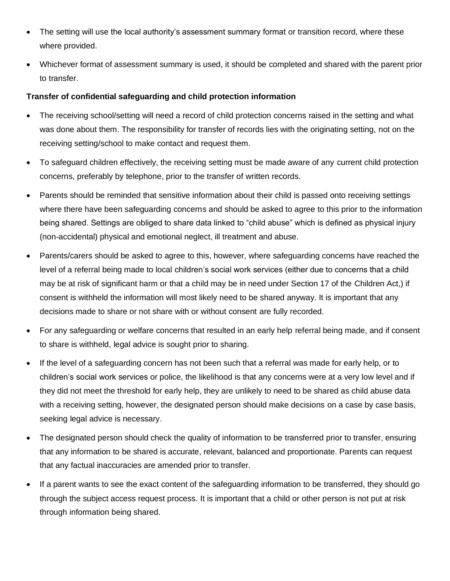- The setting will use the local authority's assessment summary format or transition record, where these where provided.
- Whichever format of assessment summary is used, it should be completed and shared with the parent prior to transfer.

### **Transfer of confidential safeguarding and child protection information**

- The receiving school/setting will need a record of child protection concerns raised in the setting and what was done about them. The responsibility for transfer of records lies with the originating setting, not on the receiving setting/school to make contact and request them.
- To safeguard children effectively, the receiving setting must be made aware of any current child protection concerns, preferably by telephone, prior to the transfer of written records.
- Parents should be reminded that sensitive information about their child is passed onto receiving settings where there have been safeguarding concerns and should be asked to agree to this prior to the information being shared. Settings are obliged to share data linked to "child abuse" which is defined as physical injury (non-accidental) physical and emotional neglect, ill treatment and abuse.
- Parents/carers should be asked to agree to this, however, where safeguarding concerns have reached the level of a referral being made to local children's social work services (either due to concerns that a child may be at risk of significant harm or that a child may be in need under Section 17 of the Children Act,) if consent is withheld the information will most likely need to be shared anyway. It is important that any decisions made to share or not share with or without consent are fully recorded.
- For any safeguarding or welfare concerns that resulted in an early help referral being made, and if consent to share is withheld, legal advice is sought prior to sharing.
- If the level of a safeguarding concern has not been such that a referral was made for early help, or to children's social work services or police, the likelihood is that any concerns were at a very low level and if they did not meet the threshold for early help, they are unlikely to need to be shared as child abuse data with a receiving setting, however, the designated person should make decisions on a case by case basis, seeking legal advice is necessary.
- The designated person should check the quality of information to be transferred prior to transfer, ensuring that any information to be shared is accurate, relevant, balanced and proportionate. Parents can request that any factual inaccuracies are amended prior to transfer.
- If a parent wants to see the exact content of the safeguarding information to be transferred, they should go through the subject access request process. It is important that a child or other person is not put at risk through information being shared.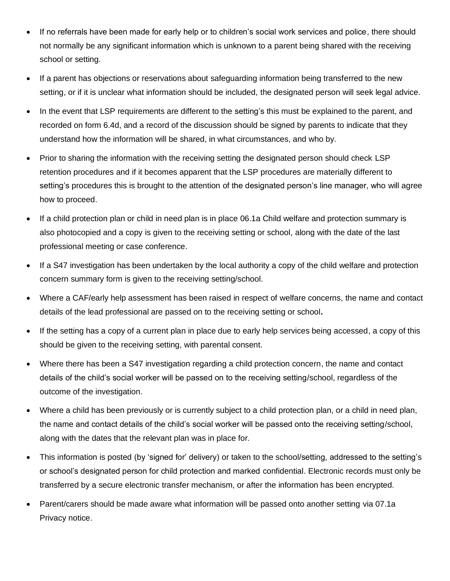- If no referrals have been made for early help or to children's social work services and police, there should not normally be any significant information which is unknown to a parent being shared with the receiving school or setting.
- If a parent has objections or reservations about safeguarding information being transferred to the new setting, or if it is unclear what information should be included, the designated person will seek legal advice.
- In the event that LSP requirements are different to the setting's this must be explained to the parent, and recorded on form 6.4d, and a record of the discussion should be signed by parents to indicate that they understand how the information will be shared, in what circumstances, and who by.
- Prior to sharing the information with the receiving setting the designated person should check LSP retention procedures and if it becomes apparent that the LSP procedures are materially different to setting's procedures this is brought to the attention of the designated person's line manager, who will agree how to proceed.
- If a child protection plan or child in need plan is in place 06.1a Child welfare and protection summary is also photocopied and a copy is given to the receiving setting or school, along with the date of the last professional meeting or case conference.
- If a S47 investigation has been undertaken by the local authority a copy of the child welfare and protection concern summary form is given to the receiving setting/school.
- Where a CAF/early help assessment has been raised in respect of welfare concerns, the name and contact details of the lead professional are passed on to the receiving setting or school**.**
- If the setting has a copy of a current plan in place due to early help services being accessed, a copy of this should be given to the receiving setting, with parental consent.
- Where there has been a S47 investigation regarding a child protection concern, the name and contact details of the child's social worker will be passed on to the receiving setting/school, regardless of the outcome of the investigation.
- Where a child has been previously or is currently subject to a child protection plan, or a child in need plan, the name and contact details of the child's social worker will be passed onto the receiving setting/school, along with the dates that the relevant plan was in place for.
- This information is posted (by 'signed for' delivery) or taken to the school/setting, addressed to the setting's or school's designated person for child protection and marked confidential. Electronic records must only be transferred by a secure electronic transfer mechanism, or after the information has been encrypted.
- Parent/carers should be made aware what information will be passed onto another setting via 07.1a Privacy notice.